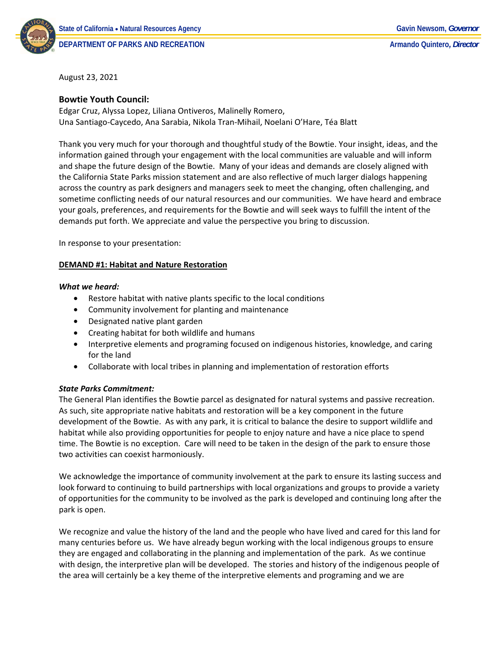

**DEPARTMENT OF PARKS AND RECREATION Armando Quintero***, Director*

August 23, 2021

# **Bowtie Youth Council:**

Edgar Cruz, Alyssa Lopez, Liliana Ontiveros, Malinelly Romero, Una Santiago-Caycedo, Ana Sarabia, Nikola Tran-Mihail, Noelani O'Hare, Téa Blatt

Thank you very much for your thorough and thoughtful study of the Bowtie. Your insight, ideas, and the information gained through your engagement with the local communities are valuable and will inform and shape the future design of the Bowtie. Many of your ideas and demands are closely aligned with the California State Parks mission statement and are also reflective of much larger dialogs happening across the country as park designers and managers seek to meet the changing, often challenging, and sometime conflicting needs of our natural resources and our communities. We have heard and embrace your goals, preferences, and requirements for the Bowtie and will seek ways to fulfill the intent of the demands put forth. We appreciate and value the perspective you bring to discussion.

In response to your presentation:

#### **DEMAND #1: Habitat and Nature Restoration**

#### *What we heard:*

- Restore habitat with native plants specific to the local conditions
- Community involvement for planting and maintenance
- Designated native plant garden
- Creating habitat for both wildlife and humans
- Interpretive elements and programing focused on indigenous histories, knowledge, and caring for the land
- Collaborate with local tribes in planning and implementation of restoration efforts

#### *State Parks Commitment:*

The General Plan identifies the Bowtie parcel as designated for natural systems and passive recreation. As such, site appropriate native habitats and restoration will be a key component in the future development of the Bowtie. As with any park, it is critical to balance the desire to support wildlife and habitat while also providing opportunities for people to enjoy nature and have a nice place to spend time. The Bowtie is no exception. Care will need to be taken in the design of the park to ensure those two activities can coexist harmoniously.

We acknowledge the importance of community involvement at the park to ensure its lasting success and look forward to continuing to build partnerships with local organizations and groups to provide a variety of opportunities for the community to be involved as the park is developed and continuing long after the park is open.

We recognize and value the history of the land and the people who have lived and cared for this land for many centuries before us. We have already begun working with the local indigenous groups to ensure they are engaged and collaborating in the planning and implementation of the park. As we continue with design, the interpretive plan will be developed. The stories and history of the indigenous people of the area will certainly be a key theme of the interpretive elements and programing and we are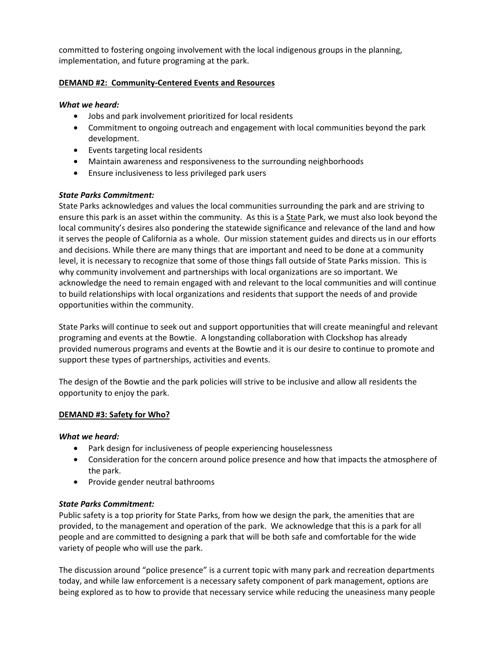committed to fostering ongoing involvement with the local indigenous groups in the planning, implementation, and future programing at the park.

# **DEMAND #2: Community-Centered Events and Resources**

### *What we heard:*

- Jobs and park involvement prioritized for local residents
- Commitment to ongoing outreach and engagement with local communities beyond the park development.
- Events targeting local residents
- Maintain awareness and responsiveness to the surrounding neighborhoods
- Ensure inclusiveness to less privileged park users

# *State Parks Commitment:*

State Parks acknowledges and values the local communities surrounding the park and are striving to ensure this park is an asset within the community. As this is a State Park, we must also look beyond the local community's desires also pondering the statewide significance and relevance of the land and how it serves the people of California as a whole. Our mission statement guides and directs us in our efforts and decisions. While there are many things that are important and need to be done at a community level, it is necessary to recognize that some of those things fall outside of State Parks mission. This is why community involvement and partnerships with local organizations are so important. We acknowledge the need to remain engaged with and relevant to the local communities and will continue to build relationships with local organizations and residents that support the needs of and provide opportunities within the community.

State Parks will continue to seek out and support opportunities that will create meaningful and relevant programing and events at the Bowtie. A longstanding collaboration with Clockshop has already provided numerous programs and events at the Bowtie and it is our desire to continue to promote and support these types of partnerships, activities and events.

The design of the Bowtie and the park policies will strive to be inclusive and allow all residents the opportunity to enjoy the park.

#### **DEMAND #3: Safety for Who?**

#### *What we heard:*

- Park design for inclusiveness of people experiencing houselessness
- Consideration for the concern around police presence and how that impacts the atmosphere of the park.
- Provide gender neutral bathrooms

#### *State Parks Commitment:*

Public safety is a top priority for State Parks, from how we design the park, the amenities that are provided, to the management and operation of the park. We acknowledge that this is a park for all people and are committed to designing a park that will be both safe and comfortable for the wide variety of people who will use the park.

The discussion around "police presence" is a current topic with many park and recreation departments today, and while law enforcement is a necessary safety component of park management, options are being explored as to how to provide that necessary service while reducing the uneasiness many people